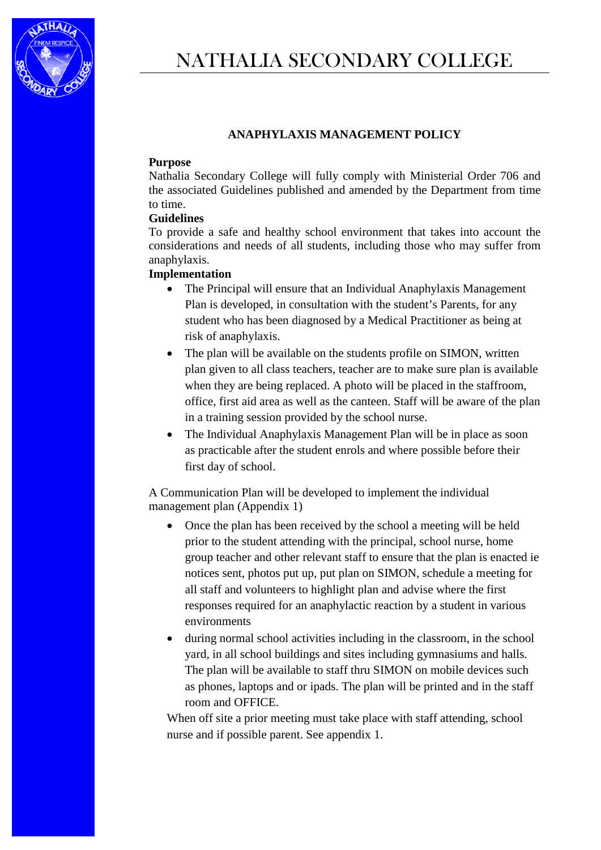

#### **ANAPHYLAXIS MANAGEMENT POLICY**

#### **Purpose**

Nathalia Secondary College will fully comply with Ministerial Order 706 and the associated Guidelines published and amended by the Department from time to time.

#### **Guidelines**

To provide a safe and healthy school environment that takes into account the considerations and needs of all students, including those who may suffer from anaphylaxis.

#### **Implementation**

- The Principal will ensure that an Individual Anaphylaxis Management Plan is developed, in consultation with the student's Parents, for any student who has been diagnosed by a Medical Practitioner as being at risk of anaphylaxis.
- The plan will be available on the students profile on SIMON, written plan given to all class teachers, teacher are to make sure plan is available when they are being replaced. A photo will be placed in the staffroom, office, first aid area as well as the canteen. Staff will be aware of the plan in a training session provided by the school nurse.
- The Individual Anaphylaxis Management Plan will be in place as soon as practicable after the student enrols and where possible before their first day of school.

A Communication Plan will be developed to implement the individual management plan (Appendix 1)

- Once the plan has been received by the school a meeting will be held prior to the student attending with the principal, school nurse, home group teacher and other relevant staff to ensure that the plan is enacted ie notices sent, photos put up, put plan on SIMON, schedule a meeting for all staff and volunteers to highlight plan and advise where the first responses required for an anaphylactic reaction by a student in various environments
- during normal school activities including in the classroom, in the school yard, in all school buildings and sites including gymnasiums and halls. The plan will be available to staff thru SIMON on mobile devices such as phones, laptops and or ipads. The plan will be printed and in the staff room and OFFICE.

When off site a prior meeting must take place with staff attending, school nurse and if possible parent. See appendix 1.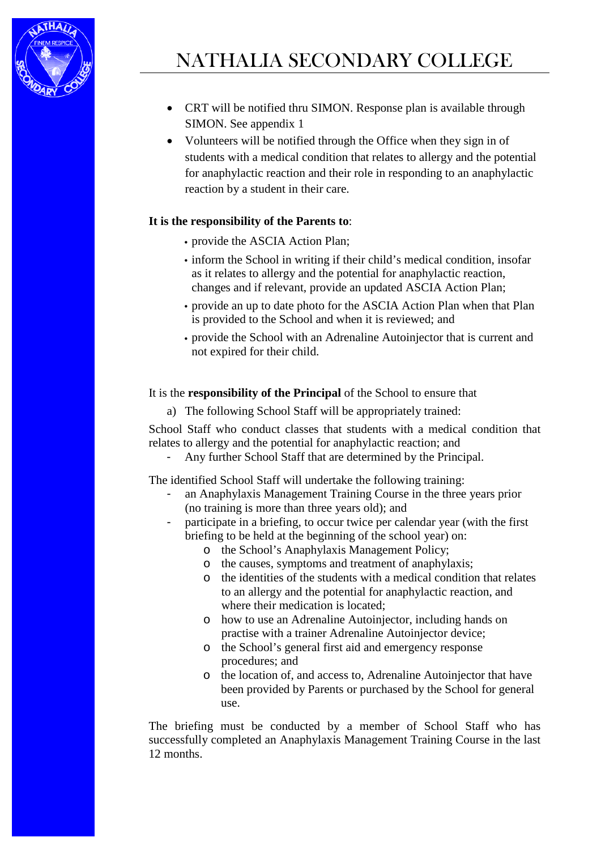

- CRT will be notified thru SIMON. Response plan is available through SIMON. See appendix 1
- Volunteers will be notified through the Office when they sign in of students with a medical condition that relates to allergy and the potential for anaphylactic reaction and their role in responding to an anaphylactic reaction by a student in their care.

### **It is the responsibility of the Parents to**:

- provide the ASCIA Action Plan;
- inform the School in writing if their child's medical condition, insofar as it relates to allergy and the potential for anaphylactic reaction, changes and if relevant, provide an updated ASCIA Action Plan;
- provide an up to date photo for the ASCIA Action Plan when that Plan is provided to the School and when it is reviewed; and
- provide the School with an Adrenaline Autoinjector that is current and not expired for their child.

#### It is the **responsibility of the Principal** of the School to ensure that

a) The following School Staff will be appropriately trained:

School Staff who conduct classes that students with a medical condition that relates to allergy and the potential for anaphylactic reaction; and

- Any further School Staff that are determined by the Principal.

The identified School Staff will undertake the following training:

- an Anaphylaxis Management Training Course in the three years prior (no training is more than three years old); and
- participate in a briefing, to occur twice per calendar year (with the first briefing to be held at the beginning of the school year) on:
	- o the School's Anaphylaxis Management Policy;
	- o the causes, symptoms and treatment of anaphylaxis;
	- o the identities of the students with a medical condition that relates to an allergy and the potential for anaphylactic reaction, and where their medication is located;
	- o how to use an Adrenaline Autoinjector, including hands on practise with a trainer Adrenaline Autoinjector device;
	- o the School's general first aid and emergency response procedures; and
	- o the location of, and access to, Adrenaline Autoinjector that have been provided by Parents or purchased by the School for general use.

The briefing must be conducted by a member of School Staff who has successfully completed an Anaphylaxis Management Training Course in the last 12 months.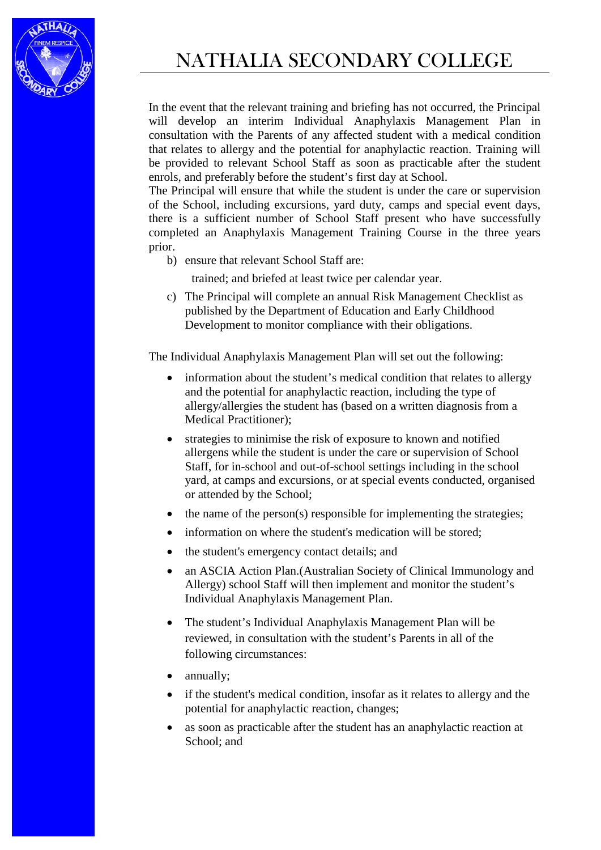

In the event that the relevant training and briefing has not occurred, the Principal will develop an interim Individual Anaphylaxis Management Plan in consultation with the Parents of any affected student with a medical condition that relates to allergy and the potential for anaphylactic reaction. Training will be provided to relevant School Staff as soon as practicable after the student enrols, and preferably before the student's first day at School.

The Principal will ensure that while the student is under the care or supervision of the School, including excursions, yard duty, camps and special event days, there is a sufficient number of School Staff present who have successfully completed an Anaphylaxis Management Training Course in the three years prior.

- b) ensure that relevant School Staff are:
	- trained; and briefed at least twice per calendar year.
- c) The Principal will complete an annual Risk Management Checklist as published by the Department of Education and Early Childhood Development to monitor compliance with their obligations.

The Individual Anaphylaxis Management Plan will set out the following:

- information about the student's medical condition that relates to allergy and the potential for anaphylactic reaction, including the type of allergy/allergies the student has (based on a written diagnosis from a Medical Practitioner);
- strategies to minimise the risk of exposure to known and notified allergens while the student is under the care or supervision of School Staff, for in-school and out-of-school settings including in the school yard, at camps and excursions, or at special events conducted, organised or attended by the School;
- the name of the person(s) responsible for implementing the strategies;
- information on where the student's medication will be stored;
- the student's emergency contact details; and
- an ASCIA Action Plan.(Australian Society of Clinical Immunology and Allergy) school Staff will then implement and monitor the student's Individual Anaphylaxis Management Plan.
- The student's Individual Anaphylaxis Management Plan will be reviewed, in consultation with the student's Parents in all of the following circumstances:
- annually;
- if the student's medical condition, insofar as it relates to allergy and the potential for anaphylactic reaction, changes;
- as soon as practicable after the student has an anaphylactic reaction at School; and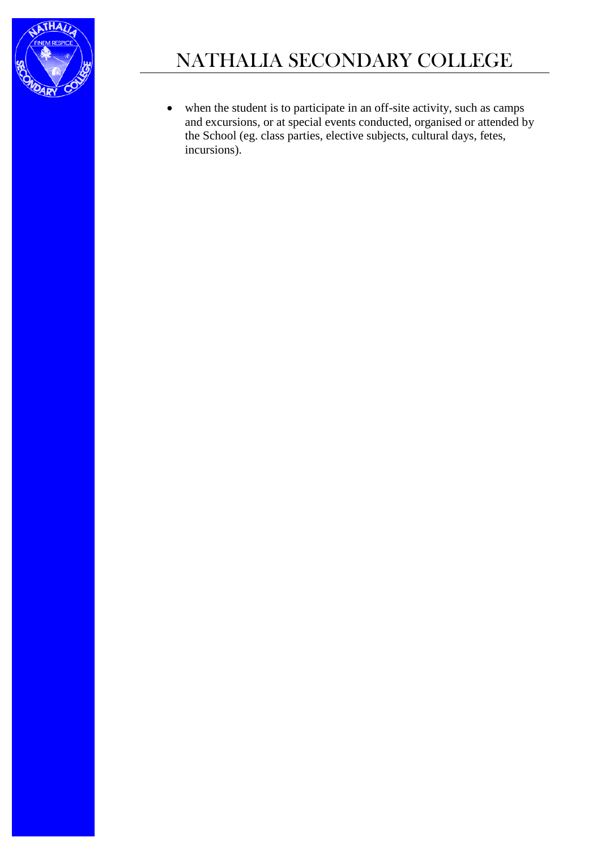

• when the student is to participate in an off-site activity, such as camps and excursions, or at special events conducted, organised or attended by the School (eg. class parties, elective subjects, cultural days, fetes, incursions).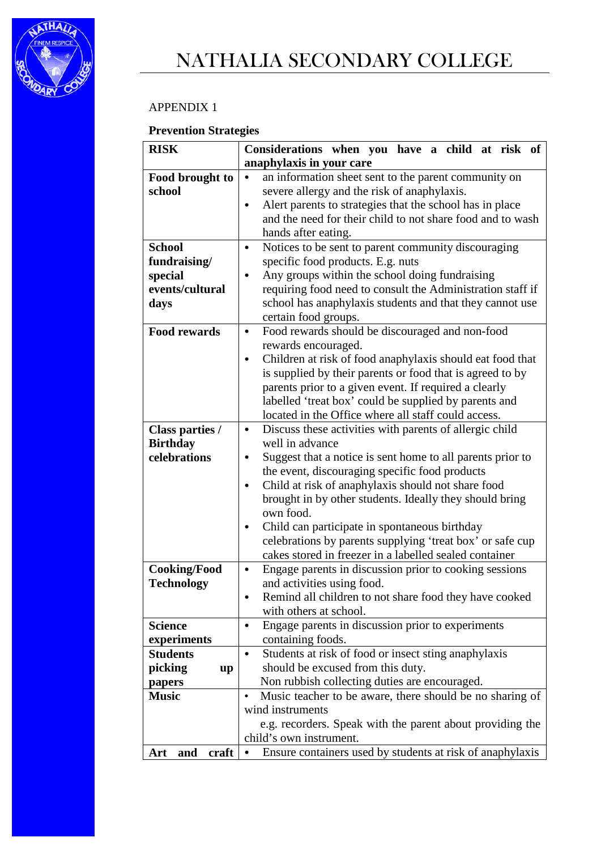

### APPENDIX 1

## **Prevention Strategies**

| <b>RISK</b>            | Considerations when you have a child at risk of                         |  |  |  |  |
|------------------------|-------------------------------------------------------------------------|--|--|--|--|
|                        | anaphylaxis in your care                                                |  |  |  |  |
| Food brought to        | an information sheet sent to the parent community on<br>$\bullet$       |  |  |  |  |
| school                 | severe allergy and the risk of anaphylaxis.                             |  |  |  |  |
|                        | Alert parents to strategies that the school has in place                |  |  |  |  |
|                        | and the need for their child to not share food and to wash              |  |  |  |  |
|                        | hands after eating.                                                     |  |  |  |  |
| <b>School</b>          | Notices to be sent to parent community discouraging<br>$\bullet$        |  |  |  |  |
| fundraising/           | specific food products. E.g. nuts                                       |  |  |  |  |
| special                | Any groups within the school doing fundraising<br>$\bullet$             |  |  |  |  |
| events/cultural        | requiring food need to consult the Administration staff if              |  |  |  |  |
| days                   | school has anaphylaxis students and that they cannot use                |  |  |  |  |
|                        | certain food groups.                                                    |  |  |  |  |
| <b>Food rewards</b>    | Food rewards should be discouraged and non-food<br>$\bullet$            |  |  |  |  |
|                        | rewards encouraged.                                                     |  |  |  |  |
|                        | Children at risk of food anaphylaxis should eat food that<br>$\bullet$  |  |  |  |  |
|                        | is supplied by their parents or food that is agreed to by               |  |  |  |  |
|                        | parents prior to a given event. If required a clearly                   |  |  |  |  |
|                        | labelled 'treat box' could be supplied by parents and                   |  |  |  |  |
|                        | located in the Office where all staff could access.                     |  |  |  |  |
| <b>Class parties /</b> | Discuss these activities with parents of allergic child<br>$\bullet$    |  |  |  |  |
| <b>Birthday</b>        | well in advance                                                         |  |  |  |  |
| celebrations           | Suggest that a notice is sent home to all parents prior to<br>$\bullet$ |  |  |  |  |
|                        | the event, discouraging specific food products                          |  |  |  |  |
|                        | Child at risk of anaphylaxis should not share food<br>$\bullet$         |  |  |  |  |
|                        | brought in by other students. Ideally they should bring                 |  |  |  |  |
|                        | own food.                                                               |  |  |  |  |
|                        | Child can participate in spontaneous birthday<br>٠                      |  |  |  |  |
|                        | celebrations by parents supplying 'treat box' or safe cup               |  |  |  |  |
|                        | cakes stored in freezer in a labelled sealed container                  |  |  |  |  |
| <b>Cooking/Food</b>    | Engage parents in discussion prior to cooking sessions<br>$\bullet$     |  |  |  |  |
| <b>Technology</b>      | and activities using food.                                              |  |  |  |  |
|                        | Remind all children to not share food they have cooked<br>$\bullet$     |  |  |  |  |
|                        | with others at school.                                                  |  |  |  |  |
| <b>Science</b>         | Engage parents in discussion prior to experiments<br>٠                  |  |  |  |  |
| experiments            | containing foods.                                                       |  |  |  |  |
| <b>Students</b>        | Students at risk of food or insect sting anaphylaxis                    |  |  |  |  |
| picking<br>up          | should be excused from this duty.                                       |  |  |  |  |
| papers                 | Non rubbish collecting duties are encouraged.                           |  |  |  |  |
| <b>Music</b>           | Music teacher to be aware, there should be no sharing of                |  |  |  |  |
|                        | wind instruments                                                        |  |  |  |  |
|                        | e.g. recorders. Speak with the parent about providing the               |  |  |  |  |
|                        | child's own instrument.                                                 |  |  |  |  |
| craft<br>and<br>Art    | Ensure containers used by students at risk of anaphylaxis<br>$\bullet$  |  |  |  |  |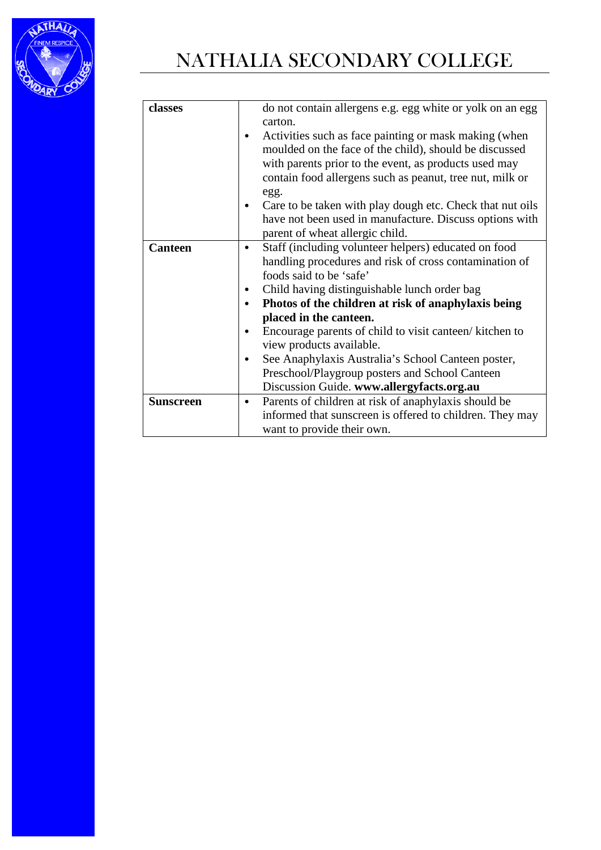

| classes          | do not contain allergens e.g. egg white or yolk on an egg<br>carton. |
|------------------|----------------------------------------------------------------------|
|                  | Activities such as face painting or mask making (when<br>$\bullet$   |
|                  | moulded on the face of the child), should be discussed               |
|                  | with parents prior to the event, as products used may                |
|                  | contain food allergens such as peanut, tree nut, milk or             |
|                  | egg.                                                                 |
|                  | Care to be taken with play dough etc. Check that nut oils            |
|                  | have not been used in manufacture. Discuss options with              |
|                  | parent of wheat allergic child.                                      |
| <b>Canteen</b>   | Staff (including volunteer helpers) educated on food<br>$\bullet$    |
|                  | handling procedures and risk of cross contamination of               |
|                  | foods said to be 'safe'                                              |
|                  | Child having distinguishable lunch order bag<br>٠                    |
|                  | Photos of the children at risk of anaphylaxis being                  |
|                  | placed in the canteen.                                               |
|                  | Encourage parents of child to visit canteen/ kitchen to<br>$\bullet$ |
|                  | view products available.                                             |
|                  | See Anaphylaxis Australia's School Canteen poster,<br>٠              |
|                  | Preschool/Playgroup posters and School Canteen                       |
|                  | Discussion Guide. www.allergyfacts.org.au                            |
| <b>Sunscreen</b> | Parents of children at risk of anaphylaxis should be<br>$\bullet$    |
|                  | informed that sunscreen is offered to children. They may             |
|                  | want to provide their own.                                           |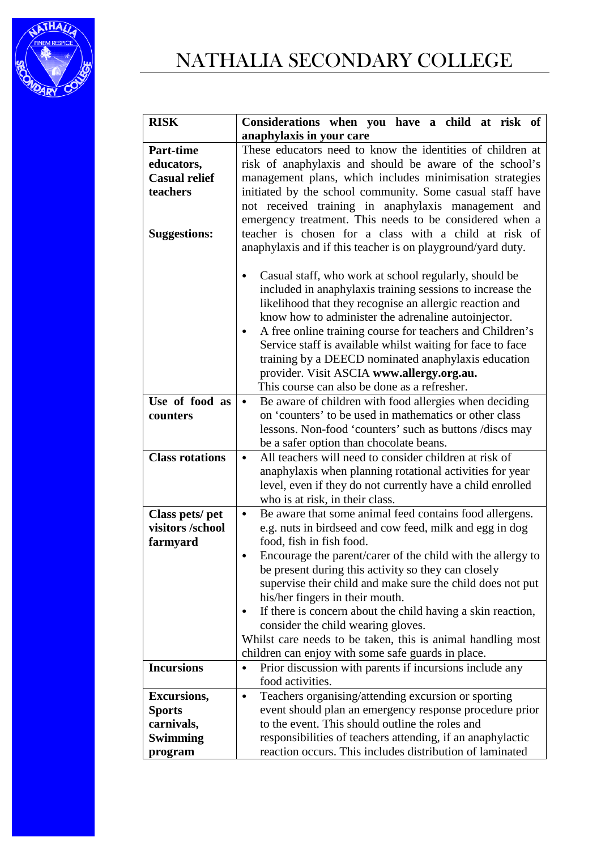

| <b>RISK</b>            | Considerations when you have a child at risk of                      |  |  |  |
|------------------------|----------------------------------------------------------------------|--|--|--|
|                        | anaphylaxis in your care                                             |  |  |  |
| <b>Part-time</b>       | These educators need to know the identities of children at           |  |  |  |
| educators,             | risk of anaphylaxis and should be aware of the school's              |  |  |  |
| <b>Casual relief</b>   | management plans, which includes minimisation strategies             |  |  |  |
| teachers               | initiated by the school community. Some casual staff have            |  |  |  |
|                        | not received training in anaphylaxis management and                  |  |  |  |
|                        | emergency treatment. This needs to be considered when a              |  |  |  |
| <b>Suggestions:</b>    | teacher is chosen for a class with a child at risk of                |  |  |  |
|                        | anaphylaxis and if this teacher is on playground/yard duty.          |  |  |  |
|                        |                                                                      |  |  |  |
|                        | Casual staff, who work at school regularly, should be                |  |  |  |
|                        | included in anaphylaxis training sessions to increase the            |  |  |  |
|                        | likelihood that they recognise an allergic reaction and              |  |  |  |
|                        | know how to administer the adrenaline autoinjector.                  |  |  |  |
|                        | A free online training course for teachers and Children's            |  |  |  |
|                        | Service staff is available whilst waiting for face to face           |  |  |  |
|                        |                                                                      |  |  |  |
|                        | training by a DEECD nominated anaphylaxis education                  |  |  |  |
|                        | provider. Visit ASCIA www.allergy.org.au.                            |  |  |  |
|                        | This course can also be done as a refresher.                         |  |  |  |
| Use of food as         | Be aware of children with food allergies when deciding<br>$\bullet$  |  |  |  |
| counters               | on 'counters' to be used in mathematics or other class               |  |  |  |
|                        | lessons. Non-food 'counters' such as buttons /discs may              |  |  |  |
|                        | be a safer option than chocolate beans.                              |  |  |  |
| <b>Class rotations</b> | All teachers will need to consider children at risk of<br>$\bullet$  |  |  |  |
|                        | anaphylaxis when planning rotational activities for year             |  |  |  |
|                        | level, even if they do not currently have a child enrolled           |  |  |  |
|                        | who is at risk, in their class.                                      |  |  |  |
| Class pets/pet         | Be aware that some animal feed contains food allergens.<br>$\bullet$ |  |  |  |
| visitors /school       | e.g. nuts in birdseed and cow feed, milk and egg in dog              |  |  |  |
| farmyard               | food, fish in fish food.                                             |  |  |  |
|                        | Encourage the parent/carer of the child with the allergy to          |  |  |  |
|                        | be present during this activity so they can closely                  |  |  |  |
|                        | supervise their child and make sure the child does not put           |  |  |  |
|                        | his/her fingers in their mouth.                                      |  |  |  |
|                        | If there is concern about the child having a skin reaction,          |  |  |  |
|                        | consider the child wearing gloves.                                   |  |  |  |
|                        | Whilst care needs to be taken, this is animal handling most          |  |  |  |
|                        | children can enjoy with some safe guards in place.                   |  |  |  |
| <b>Incursions</b>      | Prior discussion with parents if incursions include any<br>$\bullet$ |  |  |  |
|                        | food activities.                                                     |  |  |  |
| <b>Excursions,</b>     | Teachers organising/attending excursion or sporting<br>$\bullet$     |  |  |  |
| <b>Sports</b>          | event should plan an emergency response procedure prior              |  |  |  |
| carnivals,             | to the event. This should outline the roles and                      |  |  |  |
| <b>Swimming</b>        | responsibilities of teachers attending, if an anaphylactic           |  |  |  |
|                        | reaction occurs. This includes distribution of laminated             |  |  |  |
| program                |                                                                      |  |  |  |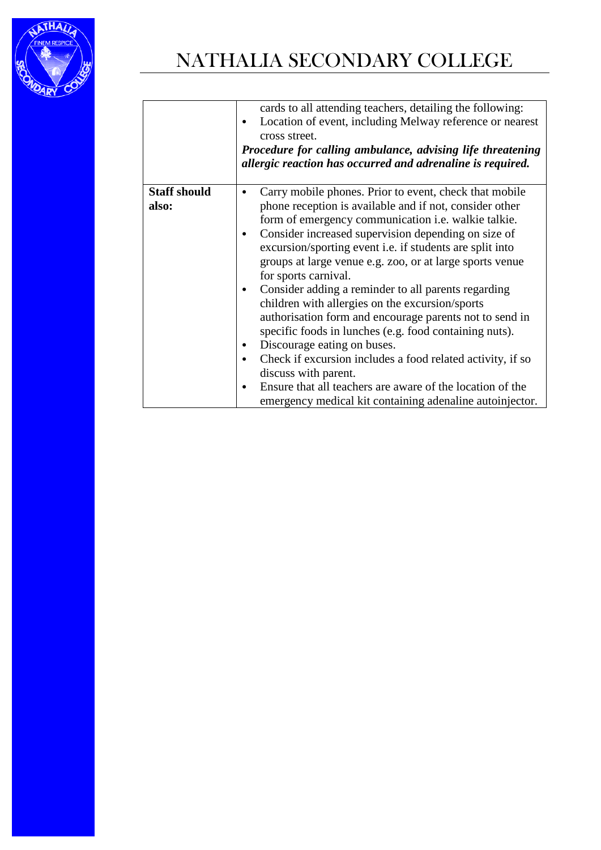

|                              | cards to all attending teachers, detailing the following:<br>Location of event, including Melway reference or nearest<br>cross street.<br>Procedure for calling ambulance, advising life threatening<br>allergic reaction has occurred and adrenaline is required.                                                                                                                                                                                                                                                                                                                                                                                                                                                                                                                                                                                                                                             |
|------------------------------|----------------------------------------------------------------------------------------------------------------------------------------------------------------------------------------------------------------------------------------------------------------------------------------------------------------------------------------------------------------------------------------------------------------------------------------------------------------------------------------------------------------------------------------------------------------------------------------------------------------------------------------------------------------------------------------------------------------------------------------------------------------------------------------------------------------------------------------------------------------------------------------------------------------|
| <b>Staff should</b><br>also: | Carry mobile phones. Prior to event, check that mobile<br>phone reception is available and if not, consider other<br>form of emergency communication <i>i.e.</i> walkie talkie.<br>Consider increased supervision depending on size of<br>$\bullet$<br>excursion/sporting event <i>i.e.</i> if students are split into<br>groups at large venue e.g. zoo, or at large sports venue<br>for sports carnival.<br>Consider adding a reminder to all parents regarding<br>$\bullet$<br>children with allergies on the excursion/sports<br>authorisation form and encourage parents not to send in<br>specific foods in lunches (e.g. food containing nuts).<br>Discourage eating on buses.<br>٠<br>Check if excursion includes a food related activity, if so<br>discuss with parent.<br>Ensure that all teachers are aware of the location of the<br>٠<br>emergency medical kit containing adenaline autoinjector. |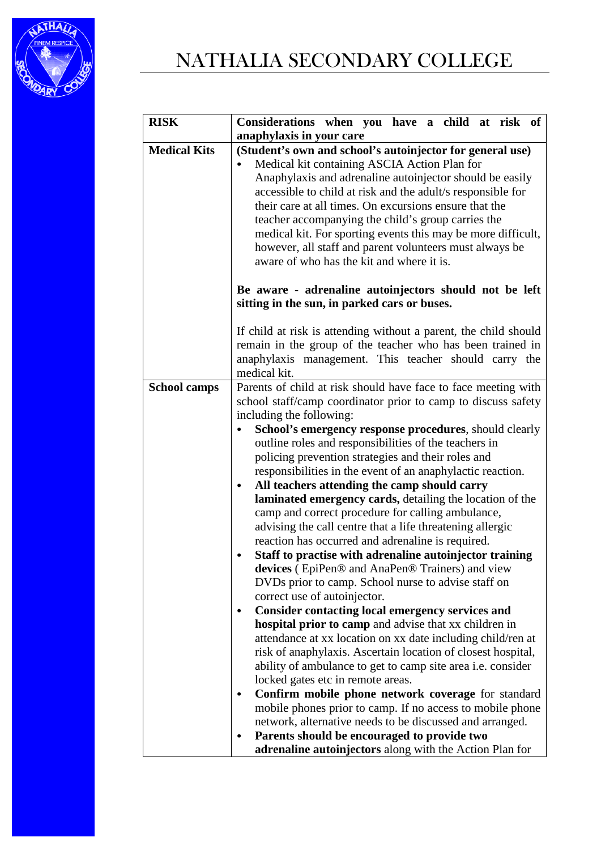

| <b>RISK</b>         | Considerations when you have a child at risk of                                     |  |  |  |  |  |
|---------------------|-------------------------------------------------------------------------------------|--|--|--|--|--|
|                     | anaphylaxis in your care                                                            |  |  |  |  |  |
| <b>Medical Kits</b> | (Student's own and school's autoinjector for general use)                           |  |  |  |  |  |
|                     | Medical kit containing ASCIA Action Plan for                                        |  |  |  |  |  |
|                     | Anaphylaxis and adrenaline autoinjector should be easily                            |  |  |  |  |  |
|                     | accessible to child at risk and the adult/s responsible for                         |  |  |  |  |  |
|                     | their care at all times. On excursions ensure that the                              |  |  |  |  |  |
|                     | teacher accompanying the child's group carries the                                  |  |  |  |  |  |
|                     | medical kit. For sporting events this may be more difficult,                        |  |  |  |  |  |
|                     | however, all staff and parent volunteers must always be                             |  |  |  |  |  |
|                     | aware of who has the kit and where it is.                                           |  |  |  |  |  |
|                     |                                                                                     |  |  |  |  |  |
|                     | Be aware - adrenaline autoinjectors should not be left                              |  |  |  |  |  |
|                     | sitting in the sun, in parked cars or buses.                                        |  |  |  |  |  |
|                     | If child at risk is attending without a parent, the child should                    |  |  |  |  |  |
|                     | remain in the group of the teacher who has been trained in                          |  |  |  |  |  |
|                     | anaphylaxis management. This teacher should carry the                               |  |  |  |  |  |
|                     | medical kit.                                                                        |  |  |  |  |  |
| <b>School camps</b> | Parents of child at risk should have face to face meeting with                      |  |  |  |  |  |
|                     | school staff/camp coordinator prior to camp to discuss safety                       |  |  |  |  |  |
|                     | including the following:                                                            |  |  |  |  |  |
|                     | School's emergency response procedures, should clearly                              |  |  |  |  |  |
|                     | outline roles and responsibilities of the teachers in                               |  |  |  |  |  |
|                     | policing prevention strategies and their roles and                                  |  |  |  |  |  |
|                     | responsibilities in the event of an anaphylactic reaction.                          |  |  |  |  |  |
|                     | All teachers attending the camp should carry<br>$\bullet$                           |  |  |  |  |  |
|                     | laminated emergency cards, detailing the location of the                            |  |  |  |  |  |
|                     | camp and correct procedure for calling ambulance,                                   |  |  |  |  |  |
|                     | advising the call centre that a life threatening allergic                           |  |  |  |  |  |
|                     | reaction has occurred and adrenaline is required.                                   |  |  |  |  |  |
|                     | Staff to practise with adrenaline autoinjector training                             |  |  |  |  |  |
|                     | devices (EpiPen® and AnaPen® Trainers) and view                                     |  |  |  |  |  |
|                     | DVDs prior to camp. School nurse to advise staff on<br>correct use of autoinjector. |  |  |  |  |  |
|                     | <b>Consider contacting local emergency services and</b>                             |  |  |  |  |  |
|                     | hospital prior to camp and advise that xx children in                               |  |  |  |  |  |
|                     | attendance at xx location on xx date including child/ren at                         |  |  |  |  |  |
|                     | risk of anaphylaxis. Ascertain location of closest hospital,                        |  |  |  |  |  |
|                     | ability of ambulance to get to camp site area <i>i.e.</i> consider                  |  |  |  |  |  |
|                     | locked gates etc in remote areas.                                                   |  |  |  |  |  |
|                     | Confirm mobile phone network coverage for standard                                  |  |  |  |  |  |
|                     | mobile phones prior to camp. If no access to mobile phone                           |  |  |  |  |  |
|                     | network, alternative needs to be discussed and arranged.                            |  |  |  |  |  |
|                     | Parents should be encouraged to provide two                                         |  |  |  |  |  |
|                     | adrenaline autoinjectors along with the Action Plan for                             |  |  |  |  |  |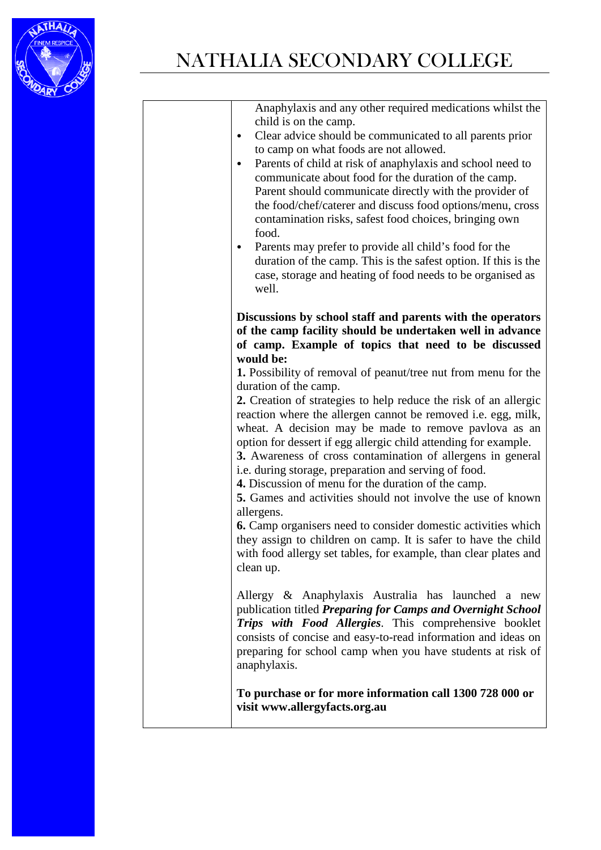

Anaphylaxis and any other required medications whilst the child is on the camp. • Clear advice should be communicated to all parents prior to camp on what foods are not allowed. • Parents of child at risk of anaphylaxis and school need to communicate about food for the duration of the camp. Parent should communicate directly with the provider of the food/chef/caterer and discuss food options/menu, cross contamination risks, safest food choices, bringing own food. • Parents may prefer to provide all child's food for the duration of the camp. This is the safest option. If this is the case, storage and heating of food needs to be organised as well. **Discussions by school staff and parents with the operators of the camp facility should be undertaken well in advance of camp. Example of topics that need to be discussed would be: 1.** Possibility of removal of peanut/tree nut from menu for the duration of the camp. **2.** Creation of strategies to help reduce the risk of an allergic reaction where the allergen cannot be removed i.e. egg, milk, wheat. A decision may be made to remove pavlova as an option for dessert if egg allergic child attending for example. **3.** Awareness of cross contamination of allergens in general i.e. during storage, preparation and serving of food. **4.** Discussion of menu for the duration of the camp. **5.** Games and activities should not involve the use of known allergens. **6.** Camp organisers need to consider domestic activities which they assign to children on camp. It is safer to have the child with food allergy set tables, for example, than clear plates and clean up. Allergy & Anaphylaxis Australia has launched a new publication titled *Preparing for Camps and Overnight School Trips with Food Allergies*. This comprehensive booklet consists of concise and easy-to-read information and ideas on preparing for school camp when you have students at risk of anaphylaxis. **To purchase or for more information call 1300 728 000 or visit www.allergyfacts.org.au**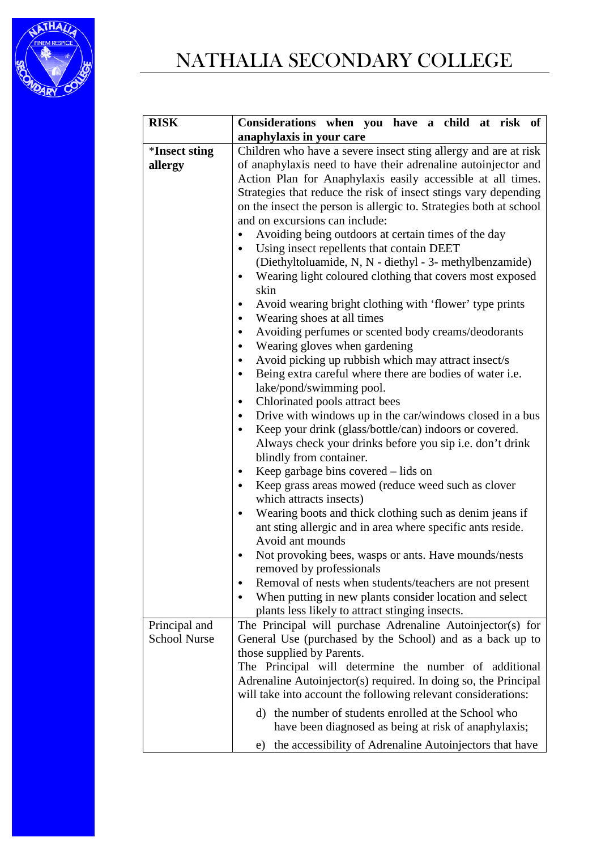

| <b>RISK</b>                 | Considerations when you have a child at risk of                                                                                 |  |  |  |  |  |
|-----------------------------|---------------------------------------------------------------------------------------------------------------------------------|--|--|--|--|--|
|                             | anaphylaxis in your care                                                                                                        |  |  |  |  |  |
| <i><b>*Insect sting</b></i> | Children who have a severe insect sting allergy and are at risk                                                                 |  |  |  |  |  |
| allergy                     | of anaphylaxis need to have their adrenaline autoinjector and                                                                   |  |  |  |  |  |
|                             | Action Plan for Anaphylaxis easily accessible at all times.                                                                     |  |  |  |  |  |
|                             | Strategies that reduce the risk of insect stings vary depending                                                                 |  |  |  |  |  |
|                             | on the insect the person is allergic to. Strategies both at school                                                              |  |  |  |  |  |
|                             | and on excursions can include:                                                                                                  |  |  |  |  |  |
|                             | Avoiding being outdoors at certain times of the day                                                                             |  |  |  |  |  |
|                             | Using insect repellents that contain DEET<br>$\bullet$                                                                          |  |  |  |  |  |
|                             | (Diethyltoluamide, N, N - diethyl - 3- methylbenzamide)                                                                         |  |  |  |  |  |
|                             | Wearing light coloured clothing that covers most exposed                                                                        |  |  |  |  |  |
|                             | skin                                                                                                                            |  |  |  |  |  |
|                             | Avoid wearing bright clothing with 'flower' type prints                                                                         |  |  |  |  |  |
|                             | Wearing shoes at all times<br>$\bullet$                                                                                         |  |  |  |  |  |
|                             | Avoiding perfumes or scented body creams/deodorants                                                                             |  |  |  |  |  |
|                             | Wearing gloves when gardening                                                                                                   |  |  |  |  |  |
|                             | Avoid picking up rubbish which may attract insect/s<br>$\bullet$                                                                |  |  |  |  |  |
|                             | Being extra careful where there are bodies of water i.e.<br>$\bullet$                                                           |  |  |  |  |  |
|                             | lake/pond/swimming pool.                                                                                                        |  |  |  |  |  |
|                             | Chlorinated pools attract bees<br>$\bullet$                                                                                     |  |  |  |  |  |
|                             | Drive with windows up in the car/windows closed in a bus                                                                        |  |  |  |  |  |
|                             | Keep your drink (glass/bottle/can) indoors or covered.                                                                          |  |  |  |  |  |
|                             | Always check your drinks before you sip i.e. don't drink                                                                        |  |  |  |  |  |
|                             | blindly from container.                                                                                                         |  |  |  |  |  |
|                             | Keep garbage bins covered – lids on                                                                                             |  |  |  |  |  |
|                             | Keep grass areas mowed (reduce weed such as clover                                                                              |  |  |  |  |  |
|                             | which attracts insects)                                                                                                         |  |  |  |  |  |
|                             | Wearing boots and thick clothing such as denim jeans if<br>$\bullet$                                                            |  |  |  |  |  |
|                             | ant sting allergic and in area where specific ants reside.                                                                      |  |  |  |  |  |
|                             | Avoid ant mounds                                                                                                                |  |  |  |  |  |
|                             | Not provoking bees, wasps or ants. Have mounds/nests                                                                            |  |  |  |  |  |
|                             | removed by professionals                                                                                                        |  |  |  |  |  |
|                             | Removal of nests when students/teachers are not present<br>When putting in new plants consider location and select<br>$\bullet$ |  |  |  |  |  |
|                             | plants less likely to attract stinging insects.                                                                                 |  |  |  |  |  |
| Principal and               | The Principal will purchase Adrenaline Autoinjector(s) for                                                                      |  |  |  |  |  |
| <b>School Nurse</b>         | General Use (purchased by the School) and as a back up to                                                                       |  |  |  |  |  |
|                             | those supplied by Parents.                                                                                                      |  |  |  |  |  |
|                             | The Principal will determine the number of additional                                                                           |  |  |  |  |  |
|                             | Adrenaline Autoinjector(s) required. In doing so, the Principal                                                                 |  |  |  |  |  |
|                             | will take into account the following relevant considerations:                                                                   |  |  |  |  |  |
|                             | d) the number of students enrolled at the School who                                                                            |  |  |  |  |  |
|                             | have been diagnosed as being at risk of anaphylaxis;                                                                            |  |  |  |  |  |
|                             | the accessibility of Adrenaline Autoinjectors that have<br>e)                                                                   |  |  |  |  |  |